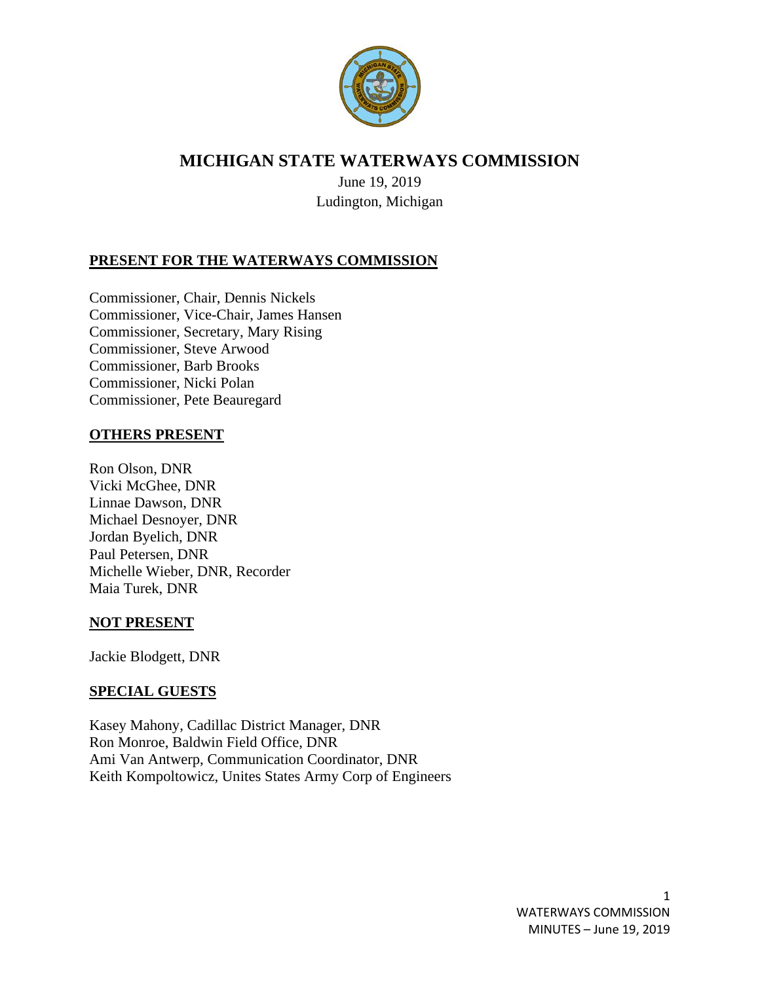

# **MICHIGAN STATE WATERWAYS COMMISSION**

June 19, 2019 Ludington, Michigan

# **PRESENT FOR THE WATERWAYS COMMISSION**

Commissioner, Chair, Dennis Nickels Commissioner, Vice-Chair, James Hansen Commissioner, Secretary, Mary Rising Commissioner, Steve Arwood Commissioner, Barb Brooks Commissioner, Nicki Polan Commissioner, Pete Beauregard

# **OTHERS PRESENT**

Ron Olson, DNR Vicki McGhee, DNR Linnae Dawson, DNR Michael Desnoyer, DNR Jordan Byelich, DNR Paul Petersen, DNR Michelle Wieber, DNR, Recorder Maia Turek, DNR

#### **NOT PRESENT**

Jackie Blodgett, DNR

#### **SPECIAL GUESTS**

Kasey Mahony, Cadillac District Manager, DNR Ron Monroe, Baldwin Field Office, DNR Ami Van Antwerp, Communication Coordinator, DNR Keith Kompoltowicz, Unites States Army Corp of Engineers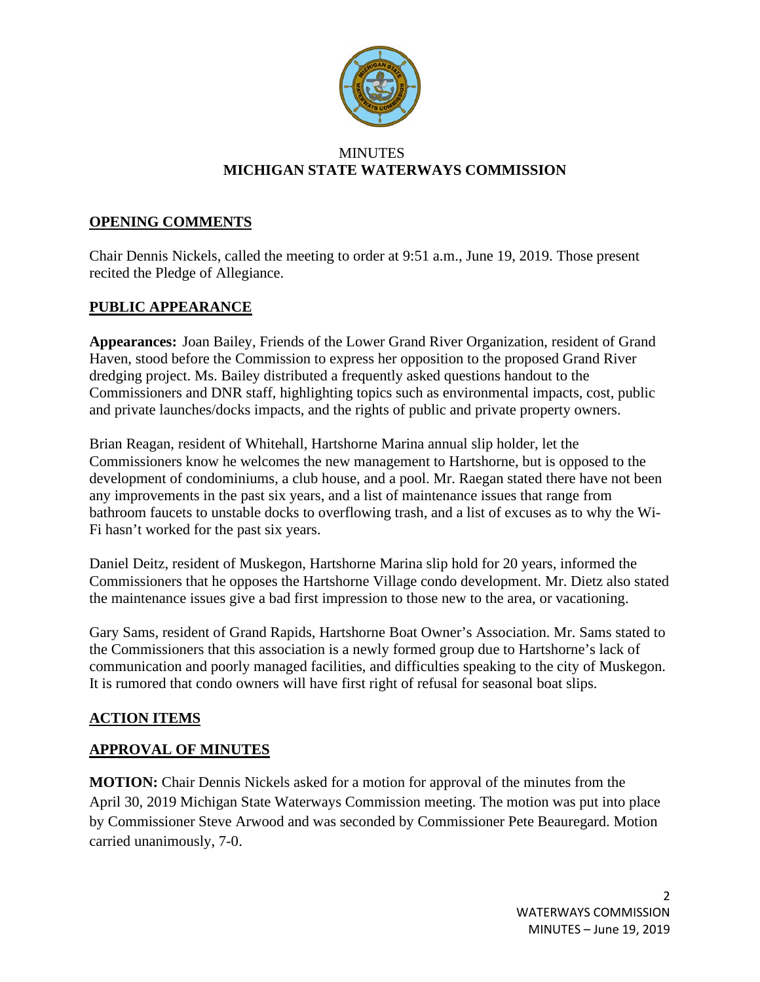

#### **MINUTES MICHIGAN STATE WATERWAYS COMMISSION**

### **OPENING COMMENTS**

Chair Dennis Nickels, called the meeting to order at 9:51 a.m., June 19, 2019. Those present recited the Pledge of Allegiance.

# **PUBLIC APPEARANCE**

**Appearances:** Joan Bailey, Friends of the Lower Grand River Organization, resident of Grand Haven, stood before the Commission to express her opposition to the proposed Grand River dredging project. Ms. Bailey distributed a frequently asked questions handout to the Commissioners and DNR staff, highlighting topics such as environmental impacts, cost, public and private launches/docks impacts, and the rights of public and private property owners.

Brian Reagan, resident of Whitehall, Hartshorne Marina annual slip holder, let the Commissioners know he welcomes the new management to Hartshorne, but is opposed to the development of condominiums, a club house, and a pool. Mr. Raegan stated there have not been any improvements in the past six years, and a list of maintenance issues that range from bathroom faucets to unstable docks to overflowing trash, and a list of excuses as to why the Wi-Fi hasn't worked for the past six years.

Daniel Deitz, resident of Muskegon, Hartshorne Marina slip hold for 20 years, informed the Commissioners that he opposes the Hartshorne Village condo development. Mr. Dietz also stated the maintenance issues give a bad first impression to those new to the area, or vacationing.

Gary Sams, resident of Grand Rapids, Hartshorne Boat Owner's Association. Mr. Sams stated to the Commissioners that this association is a newly formed group due to Hartshorne's lack of communication and poorly managed facilities, and difficulties speaking to the city of Muskegon. It is rumored that condo owners will have first right of refusal for seasonal boat slips.

#### **ACTION ITEMS**

#### **APPROVAL OF MINUTES**

**MOTION:** Chair Dennis Nickels asked for a motion for approval of the minutes from the April 30, 2019 Michigan State Waterways Commission meeting. The motion was put into place by Commissioner Steve Arwood and was seconded by Commissioner Pete Beauregard. Motion carried unanimously, 7-0.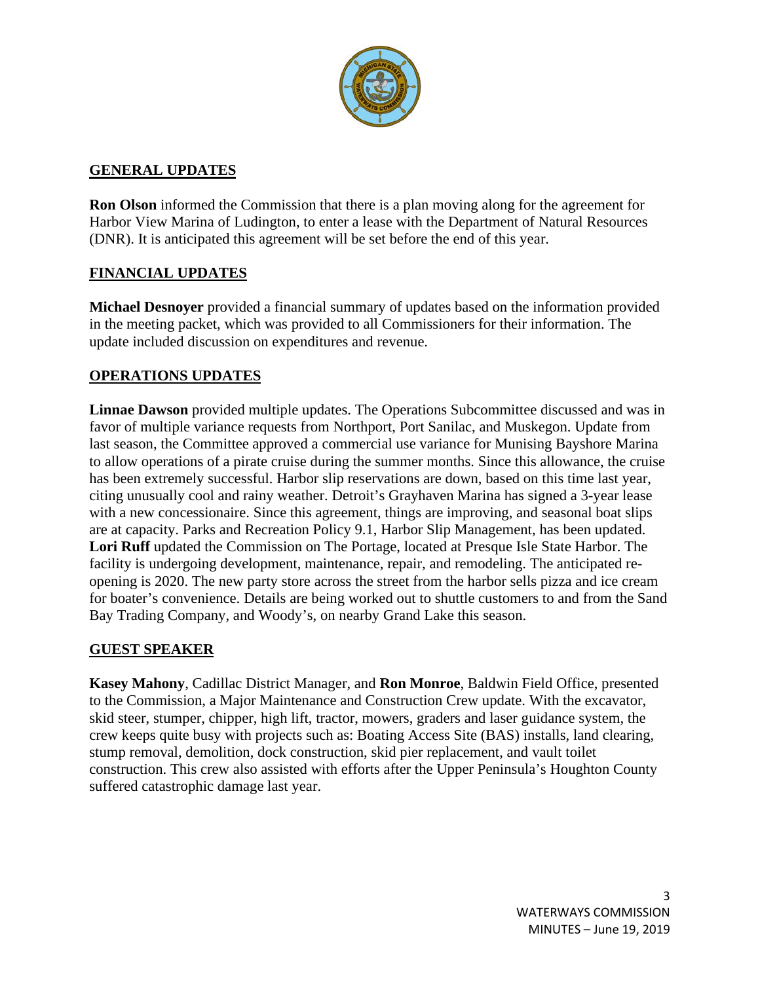

### **GENERAL UPDATES**

**Ron Olson** informed the Commission that there is a plan moving along for the agreement for Harbor View Marina of Ludington, to enter a lease with the Department of Natural Resources (DNR). It is anticipated this agreement will be set before the end of this year.

# **FINANCIAL UPDATES**

**Michael Desnoyer** provided a financial summary of updates based on the information provided in the meeting packet, which was provided to all Commissioners for their information. The update included discussion on expenditures and revenue.

# **OPERATIONS UPDATES**

**Linnae Dawson** provided multiple updates. The Operations Subcommittee discussed and was in favor of multiple variance requests from Northport, Port Sanilac, and Muskegon. Update from last season, the Committee approved a commercial use variance for Munising Bayshore Marina to allow operations of a pirate cruise during the summer months. Since this allowance, the cruise has been extremely successful. Harbor slip reservations are down, based on this time last year, citing unusually cool and rainy weather. Detroit's Grayhaven Marina has signed a 3-year lease with a new concessionaire. Since this agreement, things are improving, and seasonal boat slips are at capacity. Parks and Recreation Policy 9.1, Harbor Slip Management, has been updated. **Lori Ruff** updated the Commission on The Portage, located at Presque Isle State Harbor. The facility is undergoing development, maintenance, repair, and remodeling. The anticipated reopening is 2020. The new party store across the street from the harbor sells pizza and ice cream for boater's convenience. Details are being worked out to shuttle customers to and from the Sand Bay Trading Company, and Woody's, on nearby Grand Lake this season.

# **GUEST SPEAKER**

**Kasey Mahony**, Cadillac District Manager, and **Ron Monroe**, Baldwin Field Office, presented to the Commission, a Major Maintenance and Construction Crew update. With the excavator, skid steer, stumper, chipper, high lift, tractor, mowers, graders and laser guidance system, the crew keeps quite busy with projects such as: Boating Access Site (BAS) installs, land clearing, stump removal, demolition, dock construction, skid pier replacement, and vault toilet construction. This crew also assisted with efforts after the Upper Peninsula's Houghton County suffered catastrophic damage last year.